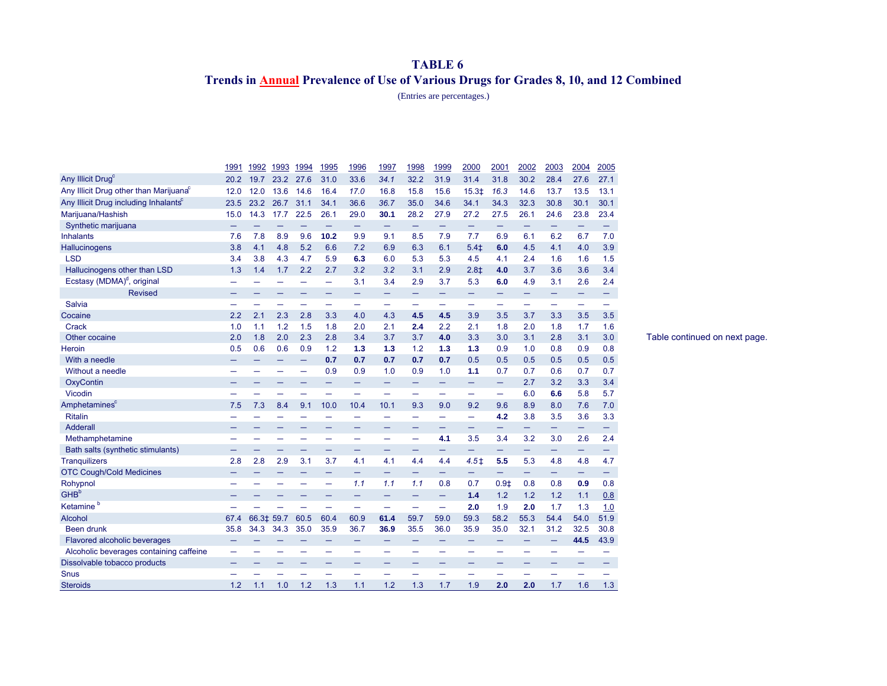## **TABLE 6 Trends in Annual Prevalence of Use of Various Drugs for Grades 8, 10, and 12 Combined**

(Entries are percentages.)

|                                                    | 1991 | 1992       | 1993 | 1994   | <u> 1995</u>             | 1996                     | 1997                     | 1998 | 1999                     | 2000             | 2001   | 2002 | 2003 | 2004                     | 2005 |
|----------------------------------------------------|------|------------|------|--------|--------------------------|--------------------------|--------------------------|------|--------------------------|------------------|--------|------|------|--------------------------|------|
| Any Illicit Drug <sup>c</sup>                      | 20.2 | 19.7       | 23.2 | 27.6   | 31.0                     | 33.6                     | 34.1                     | 32.2 | 31.9                     | 31.4             | 31.8   | 30.2 | 28.4 | 27.6                     | 27.1 |
| Any Illicit Drug other than Marijuana <sup>c</sup> | 12.0 | 12.0       | 13.6 | 14.6   | 16.4                     | 17.0                     | 16.8                     | 15.8 | 15.6                     | $15.3+$          | 16.3   | 14.6 | 13.7 | 13.5                     | 13.1 |
| Any Illicit Drug including Inhalants <sup>c</sup>  | 23.5 | 23.2       | 26.7 | 31.1   | 34.1                     | 36.6                     | 36.7                     | 35.0 | 34.6                     | 34.1             | 34.3   | 32.3 | 30.8 | 30.1                     | 30.1 |
| Marijuana/Hashish                                  | 15.0 | 14.3       | 17.7 | 22.5   | 26.1                     | 29.0                     | 30.1                     | 28.2 | 27.9                     | 27.2             | 27.5   | 26.1 | 24.6 | 23.8                     | 23.4 |
| Synthetic marijuana                                | —    |            |      |        | —                        | -                        |                          | -    | -                        | -                | -      | -    | -    | -                        |      |
| <b>Inhalants</b>                                   | 7.6  | 7.8        | 8.9  | 9.6    | 10.2                     | 9.9                      | 9.1                      | 8.5  | 7.9                      | 7.7              | 6.9    | 6.1  | 6.2  | 6.7                      | 7.0  |
| <b>Hallucinogens</b>                               | 3.8  | 4.1        | 4.8  | 5.2    | 6.6                      | 7.2                      | 6.9                      | 6.3  | 6.1                      | $5.4+$           | 6.0    | 4.5  | 4.1  | 4.0                      | 3.9  |
| <b>LSD</b>                                         | 3.4  | 3.8        | 4.3  | 4.7    | 5.9                      | 6.3                      | 6.0                      | 5.3  | 5.3                      | 4.5              | 4.1    | 2.4  | 1.6  | 1.6                      | 1.5  |
| Hallucinogens other than LSD                       | 1.3  | 1.4        | 1.7  | 2.2    | 2.7                      | 3.2                      | 3.2                      | 3.1  | 2.9                      | $2.8+$           | 4.0    | 3.7  | 3.6  | 3.6                      | 3.4  |
| Ecstasy (MDMA) <sup>d</sup> , original             |      |            |      |        | —                        | 3.1                      | 3.4                      | 2.9  | 3.7                      | 5.3              | 6.0    | 4.9  | 3.1  | 2.6                      | 2.4  |
| <b>Revised</b>                                     |      |            |      |        |                          |                          |                          | -    |                          | -                | —      | -    | -    | -                        |      |
| Salvia                                             |      |            |      |        | $\overline{\phantom{0}}$ |                          |                          | -    |                          | —                | —      |      | —    | $\overline{\phantom{0}}$ |      |
| Cocaine                                            | 2.2  | 2.1        | 2.3  | 2.8    | 3.3                      | 4.0                      | 4.3                      | 4.5  | 4.5                      | 3.9              | 3.5    | 3.7  | 3.3  | 3.5                      | 3.5  |
| Crack                                              | 1.0  | 1.1        | 1.2  | 1.5    | 1.8                      | 2.0                      | 2.1                      | 2.4  | 2.2                      | 2.1              | 1.8    | 2.0  | 1.8  | 1.7                      | 1.6  |
| Other cocaine                                      | 2.0  | 1.8        | 2.0  | 2.3    | 2.8                      | 3.4                      | 3.7                      | 3.7  | 4.0                      | 3.3              | 3.0    | 3.1  | 2.8  | 3.1                      | 3.0  |
| Heroin                                             | 0.5  | 0.6        | 0.6  | 0.9    | 1.2                      | 1.3                      | 1.3                      | 1.2  | 1.3                      | 1.3              | 0.9    | 1.0  | 0.8  | 0.9                      | 0.8  |
| With a needle                                      |      |            |      | -      | 0.7                      | 0.7                      | 0.7                      | 0.7  | 0.7                      | 0.5              | 0.5    | 0.5  | 0.5  | 0.5                      | 0.5  |
| Without a needle                                   |      |            |      | —<br>— | 0.9                      | 0.9                      | 1.0                      | 0.9  | 1.0                      | 1.1              | 0.7    | 0.7  | 0.6  | 0.7                      | 0.7  |
| OxyContin                                          |      |            |      |        | -                        | -                        | -                        | -    |                          | -                | -      | 2.7  | 3.2  | 3.3                      | 3.4  |
| Vicodin                                            |      | ▃          |      | ▃      | -                        | $\equiv$                 | $\equiv$                 | -    | -                        | -                | -      | 6.0  | 6.6  | 5.8                      | 5.7  |
| Amphetamines <sup>c</sup>                          | 7.5  | 7.3        | 8.4  | 9.1    | 10.0                     | 10.4                     | 10.1                     | 9.3  | 9.0                      | 9.2              | 9.6    | 8.9  | 8.0  | 7.6                      | 7.0  |
| <b>Ritalin</b>                                     |      | -          |      | -      | ۰                        | $\overline{\phantom{0}}$ | $\overline{\phantom{0}}$ | -    | $\overline{\phantom{0}}$ | —                | 4.2    | 3.8  | 3.5  | 3.6                      | 3.3  |
| <b>Adderall</b>                                    |      |            |      |        |                          |                          |                          |      |                          | —                | —      | —    | -    | $\qquad \qquad -$        |      |
| Methamphetamine                                    |      |            |      |        | ÷                        |                          |                          | -    | 4.1                      | 3.5              | 3.4    | 3.2  | 3.0  | 2.6                      | 2.4  |
| Bath salts (synthetic stimulants)                  |      |            |      |        | -                        | $\overline{\phantom{0}}$ | $\overline{\phantom{0}}$ | —    | -                        | -                | -      | -    | $-$  | $\qquad \qquad -$        | -    |
| <b>Tranquilizers</b>                               | 2.8  | 2.8        | 2.9  | 3.1    | 3.7                      | 4.1                      | 4.1                      | 4.4  | 4.4                      | 4.5 <sup>†</sup> | 5.5    | 5.3  | 4.8  | 4.8                      | 4.7  |
| <b>OTC Cough/Cold Medicines</b>                    |      |            |      | -      | —                        | -                        | -                        | -    | -                        | -                | -      | -    | -    | $\qquad \qquad -$        | -    |
| Rohypnol                                           |      |            |      |        | -                        | 1.1                      | 1.1                      | 1.1  | 0.8                      | 0.7              | $0.9+$ | 0.8  | 0.8  | 0.9                      | 0.8  |
| GHB <sup>b</sup>                                   |      |            |      |        |                          | -                        | -                        | -    | -                        | 1.4              | 1.2    | 1.2  | 1.2  | 1.1                      | 0.8  |
| Ketamine <sup>b</sup>                              |      |            |      |        | -                        | $\overline{\phantom{0}}$ | -                        | -    | —                        | 2.0              | 1.9    | 2.0  | 1.7  | 1.3                      | 1.0  |
| <b>Alcohol</b>                                     | 67.4 | 66.3‡ 59.7 |      | 60.5   | 60.4                     | 60.9                     | 61.4                     | 59.7 | 59.0                     | 59.3             | 58.2   | 55.3 | 54.4 | 54.0                     | 51.9 |
| <b>Been drunk</b>                                  | 35.8 | 34.3       | 34.3 | 35.0   | 35.9                     | 36.7                     | 36.9                     | 35.5 | 36.0                     | 35.9             | 35.0   | 32.1 | 31.2 | 32.5                     | 30.8 |
| Flavored alcoholic beverages                       |      |            |      |        | -                        |                          |                          |      |                          |                  |        |      | -    | 44.5                     | 43.9 |
| Alcoholic beverages containing caffeine            | -    |            |      |        | -                        | $\overline{\phantom{0}}$ | $\overline{\phantom{0}}$ |      |                          |                  |        | -    | ۰    |                          |      |
| Dissolvable tobacco products                       |      |            |      |        | -                        | -                        |                          |      |                          |                  |        | -    | -    | -                        |      |
| <b>Snus</b>                                        |      |            |      |        |                          |                          |                          |      |                          |                  |        |      |      |                          |      |
| <b>Steroids</b>                                    | 1.2  | 1.1        | 1.0  | 1.2    | 1.3                      | 1.1                      | 1.2                      | 1.3  | 1.7                      | 1.9              | 2.0    | 2.0  | 1.7  | 1.6                      | 1.3  |

Table continued on next page.